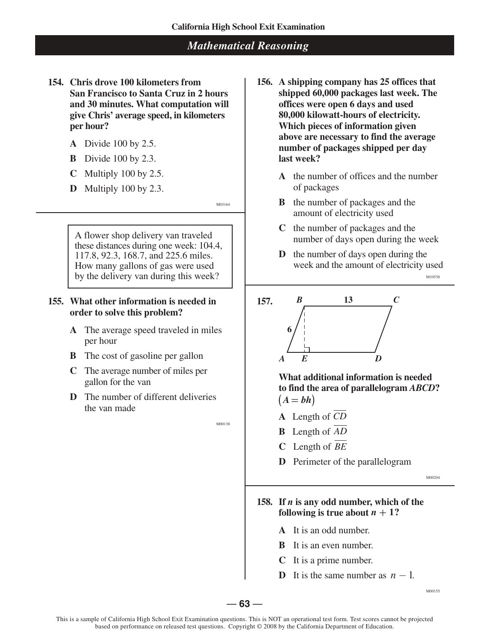- **154. Chris drove 100 kilometers from 156. A shipping company has 25 offices that and 30 minutes. What computation will offices were open 6 days and used per hour?** *per hour?* **<b>***Which pieces of information given* 
	-
	- **B** Divide 100 by 2.3. **last week?**
	-
	- **D** Multiply 100 by 2.3. of packages

A flower shop delivery van traveled number of days open during the week these distances during one week:  $104.4$ ,  $117.8$ ,  $92.3$ ,  $168.7$ , and  $225.6$  miles. How many gallons of gas were used by the delivery van during this week?  $\parallel$ 

## **155. What other information is needed in 157. order to solve this problem?**

- **A** The average speed traveled in miles per hour
- **B** The cost of gasoline per gallon
- **C** The average number of miles per gallon for the van
- **D** The number of different deliveries the van made

M00138

- San Francisco to Santa Cruz in 2 hours shipped 60,000 packages last week. The **give Chris' average speed, in kilometers 80,000 kilowatt-hours of electricity. above are necessary to find the average**  A Divide 100 by 2.5. **number of packages shipped per day**
- **C** Multiply 100 by 2.5. **A** the number of offices and the number
	- M03164 **B** the number of packages and the amount of electricity used
		- **C** the number of packages and the
		- **117.8. 117.8. 117.9. 11.3. 168.9.3. 168.9.3. 168.9.1. Week and the amount of electricity used**

*B* **13** *C* **6** *A E D*

> **What additional information is needed to find the area of parallelogram** *ABCD***?**  $(A = bh)$

- **A** Length of *CD*
- **B** Length of *AD*
- **C** Length of *BE*
- **D** Perimeter of the parallelogram

M00204

M00155

## **158. If** *n* **is any odd number, which of the following is true about**  $n + 1$ **?**

- **A** It is an odd number.
- **B** It is an even number.
- It is a prime number.
- **D** It is the same number as  $n-1$ .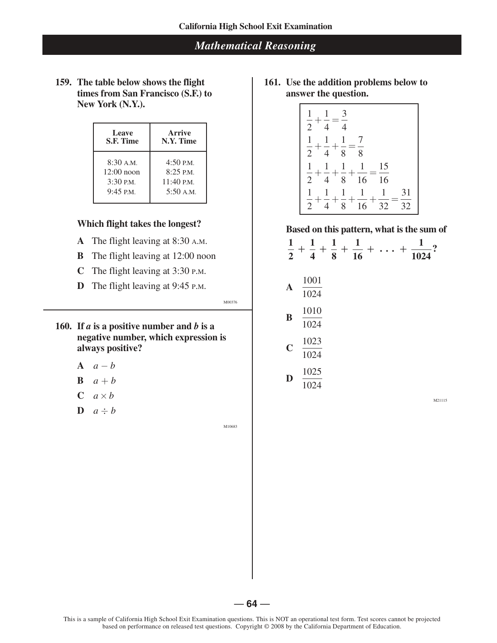**159. The table below shows the flight times from San Francisco (S.F.) to New York (N.Y.).**

| <b>Leave</b>      | Arrive              |
|-------------------|---------------------|
| <b>S.F. Time</b>  | N.Y. Time           |
| 8:30 A.M.         | $4:50$ P.M.         |
| $12:00$ noon      | $8:25$ P.M.         |
| $3:30$ P.M.       | $11:40 \text{ PM}.$ |
| $9:45 \text{ PM}$ | 5:50 A.M.           |

### **Which flight takes the longest?**

- **A** The flight leaving at 8:30 A.M.
- **B** The flight leaving at 12:00 noon
- **C** The flight leaving at 3:30 P.M.
- **D** The flight leaving at 9:45 P.M.

M00376

- **160.** If  $a$  is a positive number and  $b$  is a **negative number, which expression is always positive?**
	- **A**  $a b$
	- **B**  $a + b$
	- $C$   $a \times b$
	- $\mathbf{D}$   $a \div b$

M10683

**161. Use the addition problems below to answer the question.**

$$
\begin{array}{|r|l|}\n\hline\n\frac{1}{2} + \frac{1}{4} = \frac{3}{4} \\
\frac{1}{2} + \frac{1}{4} + \frac{1}{8} = \frac{7}{8} \\
\frac{1}{2} + \frac{1}{4} + \frac{1}{8} + \frac{1}{16} = \frac{15}{16} \\
\frac{1}{2} + \frac{1}{4} + \frac{1}{8} + \frac{1}{16} + \frac{1}{32} = \frac{31}{32}\n\end{array}
$$

#### **Based on this pattern, what is the sum of**

**1 1 1 1 1 + + + + . . . + ? 2 4 8 16 1024 A**  1001 1024 **B**  1010 1024 **C**  1023 1024 **D**  1025 1024

21115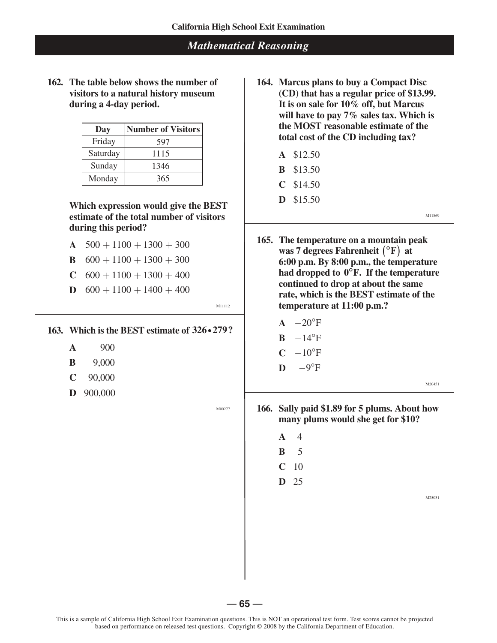**162. The table below shows the number of visitors to a natural history museum during a 4-day period.**

| Day      | <b>Number of Visitors</b> |
|----------|---------------------------|
| Friday   | 597                       |
| Saturday | 1115                      |
| Sunday   | 1346                      |
| Monday   | 365                       |

**Which expression would give the BEST estimate of the total number of visitors during this period?** 

- **A**  $500 + 1100 + 1300 + 300$
- **B**  $600 + 1100 + 1300 + 300$
- **C**  $600 + 1100 + 1300 + 400$
- **D**  $600 + 1100 + 1400 + 400$

M11112

#### **163. Which is the BEST estimate of 326i279?**

- **A** 900<br> **B** 9.000<br> **C** −10°F
- 
- **C** 90,000
- **D** 900,000

M00277

- **164. Marcus plans to buy a Compact Disc (CD) that has a regular price of \$13.99. It is on sale for 10% off, but Marcus will have to pay 7% sales tax. Which is the MOST reasonable estimate of the total cost of the CD including tax?**
	- **A** \$12.50
	- **B** \$13.50
	- **C** \$14.50
	- **D** \$15.50

M11869

- **165. The temperature on a mountain peak was 7 degrees Fahrenheit**  $({}^{\circ}F)$  at **6:00 p.m. By 8:00 p.m., the temperature had dropped to 0°F. If the temperature continued to drop at about the same rate, which is the BEST estimate of the temperature at 11:00 p.m.?**
	- $A -20$ °F
	- $B 14^{\circ}F$
	-
- **B** 9,000 **D** −9°F

M20451

**166. Sally paid \$1.89 for 5 plums. About how many plums would she get for \$10?**

- **A** 4
- **B** 5
- **C** 10
- **D** 25

M25031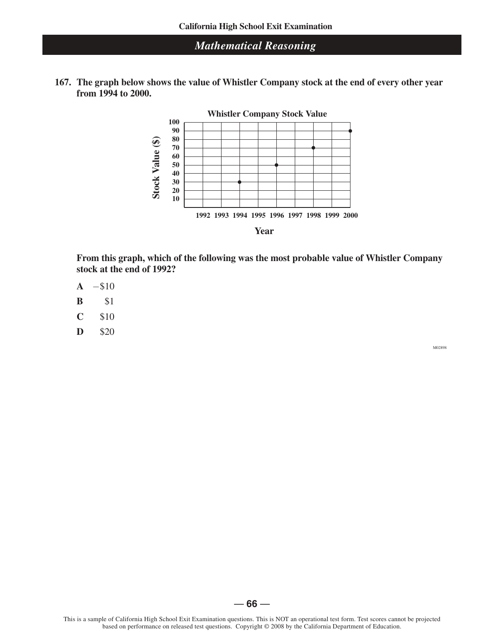**167. The graph below shows the value of Whistler Company stock at the end of every other year from 1994 to 2000.**





**From this graph, which of the following was the most probable value of Whistler Company stock at the end of 1992?**

- **A** −\$10
- **B** \$1
- **C** \$10
- **D** \$20

M02898

This is a sample of California High School Exit Examination questions. This is NOT an operational test form. Test scores cannot be projected based on performance on released test questions. Copyright © 2008 by the California Department of Education.

— **66** —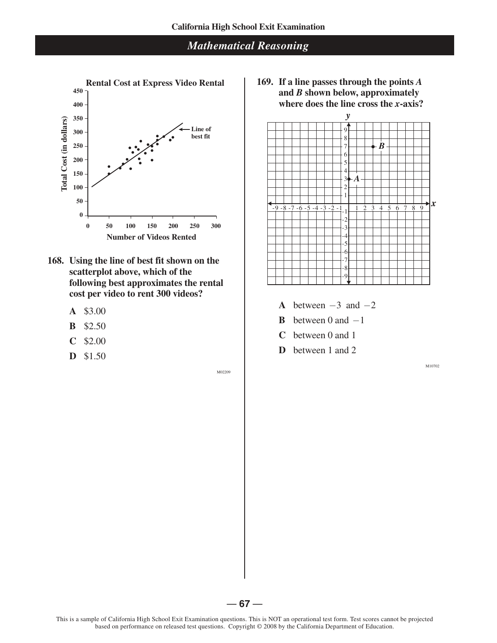

- **168. Using the line of best fit shown on the scatterplot above, which of the following best approximates the rental cost per video to rent 300 videos?**
	- **A** \$3.00
	- **B** \$2.50
	- **C** \$2.00
	- **D** \$1.50

M02209

**169. If a line passes through the points** *A* **and** *B* **shown below, approximately where does the line cross the** *x***-axis?**



- **A** between  $-3$  and  $-2$
- **B** between 0 and  $-1$
- **C** between 0 and 1
- **D** between 1 and 2

M10702

 $-67-$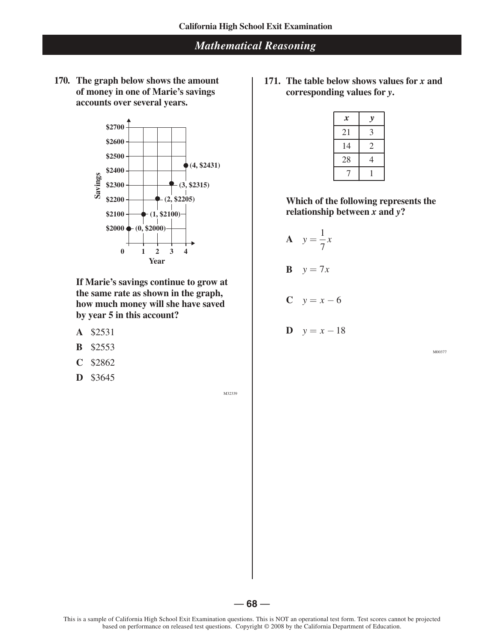**170. The graph below shows the amount of money in one of Marie's savings accounts over several years.**



**If Marie's savings continue to grow at the same rate as shown in the graph, how much money will she have saved by year 5 in this account?**

- **A** \$2531
- **B** \$2553
- **C** \$2862
- **D** \$3645

M32339

**171. The table below shows values for** *x* **and corresponding values for** *y***.**

| $\boldsymbol{x}$ | y |
|------------------|---|
| 21               | 3 |
| 14               | 2 |
| 28               | 4 |
|                  |   |

**Which of the following represents the relationship between** *x* **and** *y***?**

$$
A \quad y = \frac{1}{7}x
$$

$$
\mathbf{B} \quad y = 7x
$$

 $C$   $y = x - 6$ 

$$
D \quad y = x - 18
$$

M00377

— **68** —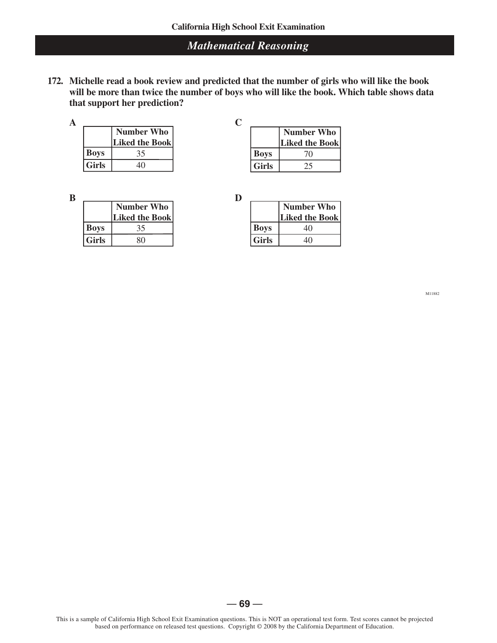**172. Michelle read a book review and predicted that the number of girls who will like the book will be more than twice the number of boys who will like the book. Which table shows data that support her prediction?**

|             | <b>Number Who</b> |
|-------------|-------------------|
|             | Liked the Book    |
| <b>Boys</b> |                   |
| Girls       |                   |

|              | <b>Number Who</b> |
|--------------|-------------------|
|              | Liked the Book    |
| <b>Boys</b>  | 70                |
| <b>Girls</b> |                   |

| B           |                   |
|-------------|-------------------|
|             | <b>Number Who</b> |
|             | Liked the Book    |
| <b>Boys</b> |                   |
| Girls       |                   |

|              | <b>Number Who</b>     |
|--------------|-----------------------|
|              | <b>Liked the Book</b> |
| <b>Boys</b>  | 40                    |
| <b>Girls</b> |                       |

M11882

— **69** —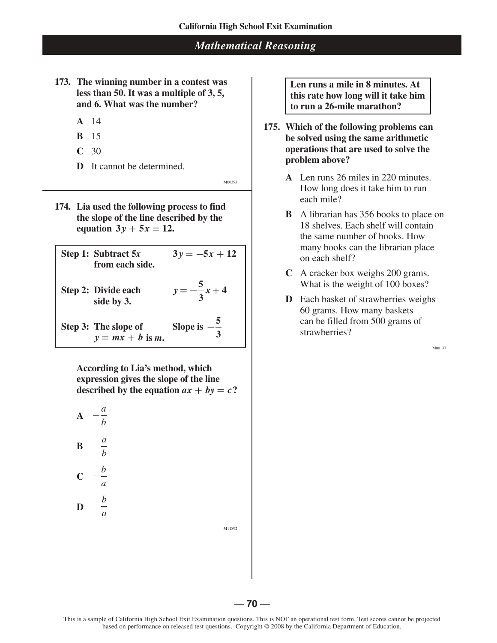- **173. The winning number in a contest was less than 50. It was a multiple of 3, 5, and 6. What was the number?**
	- **A** 14
	- **B** 15
	- **C** 30
	- **D** It cannot be determined.

M00393

**174. Lia used the following process to find the slope of the line described by the equation**  $3y + 5x = 12$ .

**Step 1:** Subtract  $5x$   $3y = -5x + 12$ **from each side. Step 2: Divide each**  $y = -\frac{5}{3}x + 4$ **3 side by 3. Step 3:** The slope of Slope is  $-\frac{5}{3}$  $y = mx + b$  is *m*.

> **According to Lia's method, which expression gives the slope of the line described by the equation**  $ax + by = c$ ?



M11892

**Len runs a mile in 8 minutes. At this rate how long will it take him to run a 26-mile marathon?**

- **175. Which of the following problems can be solved using the same arithmetic operations that are used to solve the problem above?**
	- **A** Len runs 26 miles in 220 minutes. How long does it take him to run each mile?
	- **B** A librarian has 356 books to place on 18 shelves. Each shelf will contain the same number of books. How many books can the librarian place on each shelf?
	- **C** A cracker box weighs 200 grams. What is the weight of 100 boxes?
	- **D** Each basket of strawberries weighs 60 grams. How many baskets can be filled from 500 grams of strawberries?

M00137

 $-70 -$